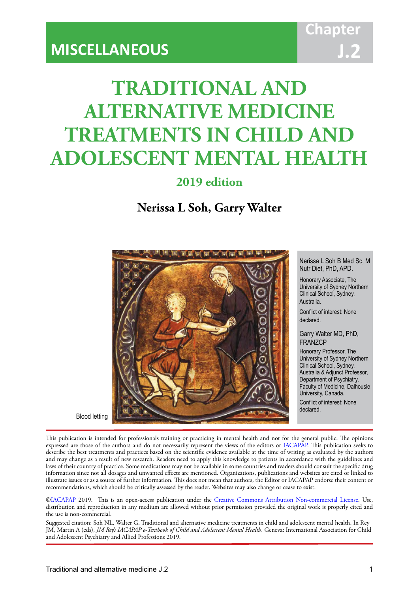# **TRADITIONAL AND ALTERNATIVE MEDICINE TREATMENTS IN CHILD AND ADOLESCENT MENTAL HEALTH**

IACAPAP Textbook of Child and Adolescent Mental Health

**2019 edition**

**Nerissa L Soh, Garry Walter**



Nerissa L Soh B Med Sc, M Nutr Diet, PhD, APD.

Honorary Associate, The University of Sydney Northern Clinical School, Sydney, Australia.

Conflict of interest: None declared.

Garry Walter MD, PhD, FRANZCP

Honorary Professor, The University of Sydney Northern Clinical School, Sydney, Australia & Adjunct Professor, Department of Psychiatry, Faculty of Medicine, Dalhousie University, Canada. Conflict of interest: None declared.

Blood letting

This publication is intended for professionals training or practicing in mental health and not for the general public. The opinions expressed are those of the authors and do not necessarily represent the views of the editors or [IACAPAP.](http://iacapap.org) This publication seeks to describe the best treatments and practices based on the scientific evidence available at the time of writing as evaluated by the authors and may change as a result of new research. Readers need to apply this knowledge to patients in accordance with the guidelines and laws of their country of practice. Some medications may not be available in some countries and readers should consult the specific drug information since not all dosages and unwanted effects are mentioned. Organizations, publications and websites are cited or linked to illustrate issues or as a source of further information. This does not mean that authors, the Editor or IACAPAP endorse their content or recommendations, which should be critically assessed by the reader. Websites may also change or cease to exist.

[©IACAPAP](http://iacapap.org) 2019. This is an open-access publication under the [Creative Commons Attribution Non-commercial License](http://creativecommons.org). Use, distribution and reproduction in any medium are allowed without prior permission provided the original work is properly cited and the use is non-commercial.

Suggested citation: Soh NL, Walter G. Traditional and alternative medicine treatments in child and adolescent mental health. In Rey JM, Martin A (eds), *JM Rey's IACAPAP e-Textbook of Child and Adolescent Mental Health*. Geneva: International Association for Child and Adolescent Psychiatry and Allied Professions 2019.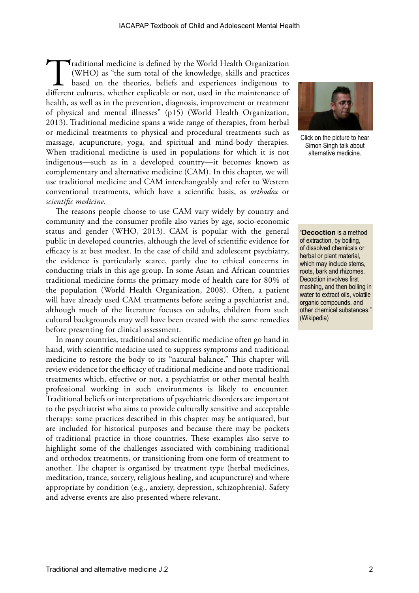Traditional medicine is defined by the World Health Organization (WHO) as "the sum total of the knowledge, skills and practices based on the theories, beliefs and experiences indigenous to different cultures, whether expli (WHO) as "the sum total of the knowledge, skills and practices based on the theories, beliefs and experiences indigenous to different cultures, whether explicable or not, used in the maintenance of health, as well as in the prevention, diagnosis, improvement or treatment of physical and mental illnesses" (p15) (World Health Organization, 2013). Traditional medicine spans a wide range of therapies, from herbal or medicinal treatments to physical and procedural treatments such as massage, acupuncture, yoga, and spiritual and mind-body therapies. When traditional medicine is used in populations for which it is not indigenous—such as in a developed country—it becomes known as complementary and alternative medicine (CAM). In this chapter, we will use traditional medicine and CAM interchangeably and refer to Western conventional treatments, which have a scientific basis, as *orthodox* or *scientific medicine*.

The reasons people choose to use CAM vary widely by country and community and the consumer profile also varies by age, socio-economic status and gender (WHO, 2013). CAM is popular with the general public in developed countries, although the level of scientific evidence for efficacy is at best modest. In the case of child and adolescent psychiatry, the evidence is particularly scarce, partly due to ethical concerns in conducting trials in this age group. In some Asian and African countries traditional medicine forms the primary mode of health care for 80% of the population (World Health Organization, 2008). Often, a patient will have already used CAM treatments before seeing a psychiatrist and, although much of the literature focuses on adults, children from such cultural backgrounds may well have been treated with the same remedies before presenting for clinical assessment.

In many countries, traditional and scientific medicine often go hand in hand, with scientific medicine used to suppress symptoms and traditional medicine to restore the body to its "natural balance." This chapter will review evidence for the efficacy of traditional medicine and note traditional treatments which, effective or not, a psychiatrist or other mental health professional working in such environments is likely to encounter. Traditional beliefs or interpretations of psychiatric disorders are important to the psychiatrist who aims to provide culturally sensitive and acceptable therapy: some practices described in this chapter may be antiquated, but are included for historical purposes and because there may be pockets of traditional practice in those countries. These examples also serve to highlight some of the challenges associated with combining traditional and orthodox treatments, or transitioning from one form of treatment to another. The chapter is organised by treatment type (herbal medicines, meditation, trance, sorcery, religious healing, and acupuncture) and where appropriate by condition (e.g., anxiety, depression, schizophrenia). Safety and adverse events are also presented where relevant.



Click on the picture to hear Simon Singh talk about alternative medicine.

"**Decoction** is a method of extraction, by boiling, of dissolved chemicals or herbal or plant material, which may include stems, roots, bark and rhizomes. Decoction involves first mashing, and then boiling in water to extract oils, volatile organic compounds, and other chemical substances." (Wikipedia)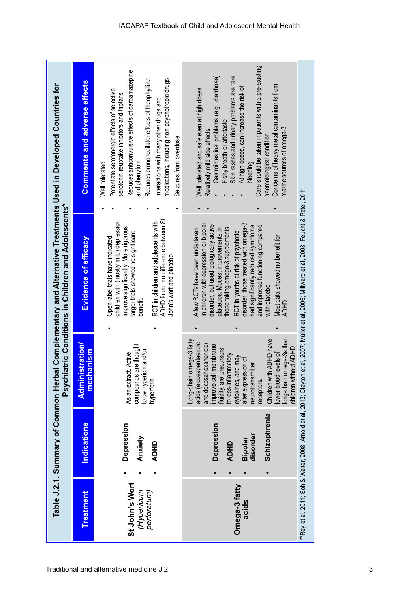|                                             | Table J.2.1. Summary of Common Herb                                      | Psychi                                                                                                                                                                                                                                                                                                                                            | latric Conditions in Children and Adolescents*                                                                                                                                                                                                                                                                                                                                                                         | al Complementary and Alternative Treatments Used in Developed Countries for                                                                                                                                                                                                                                                                                                                                                |
|---------------------------------------------|--------------------------------------------------------------------------|---------------------------------------------------------------------------------------------------------------------------------------------------------------------------------------------------------------------------------------------------------------------------------------------------------------------------------------------------|------------------------------------------------------------------------------------------------------------------------------------------------------------------------------------------------------------------------------------------------------------------------------------------------------------------------------------------------------------------------------------------------------------------------|----------------------------------------------------------------------------------------------------------------------------------------------------------------------------------------------------------------------------------------------------------------------------------------------------------------------------------------------------------------------------------------------------------------------------|
| <b>Treatment</b>                            | Indications                                                              | <b>Administration</b><br>nanism<br>mech                                                                                                                                                                                                                                                                                                           | Evidence of efficacy                                                                                                                                                                                                                                                                                                                                                                                                   | <b>Comments and adverse effects</b>                                                                                                                                                                                                                                                                                                                                                                                        |
| St John's Wort<br>(Hypericum<br>perforatum) | Depression<br>Anxiety<br><b>ADHO</b>                                     | compounds are thought<br>to be hypericin and/or<br>As an extract. Active<br>hyperforin                                                                                                                                                                                                                                                            | ADHD found no difference between St<br>children with (mostly mild) depression<br>RCT in children and adolescents with<br>improve significantly. More rigorous<br>larger trials showed no significant<br>Open label trials have indicated<br>John's wort and placebo<br>benefit                                                                                                                                         | Reduces anticonvulsive effects of carbamazepine<br>Reduces bronchodilator effects of theophylline<br>medications, including non-psychotropic drugs<br>Potentiate serotonergic effects of selective<br>serotonin reuptake inhibitors and triptans<br>Interactions with many other drugs and<br>Seizures from overdose<br>and phenytoin<br>Well tolerated                                                                    |
| Omega-3 fatty<br>acids                      | Schizophrenia<br><b>Depression</b><br>disorder<br>Bipolar<br><b>ADHO</b> | long-chain omega-3s than<br>Children with ADHD have<br>Long-chain omega-3 fatty<br>acids (eicosapentaenoic<br>and docosahexanenoic)<br>improve cell membrane<br>children without ADHD<br>fluidity, are precursors<br>lower blood levels of<br>to less-inflammatory<br>cytokines, and may<br>alter expression of<br>neurotransmitter<br>receptors. | disorder: those treated with omega-3<br>in children with depression or bipolar<br>disorder, but used biologically active<br>had significantly reduced symptoms<br>and improved functioning compared<br>those taking omega-3 supplements<br>A few RCTs have been undertaken<br>placebos. Modest improvements in<br>RCT in youths at risk of psychotic<br>Most data showed no benefit for<br>with placebc<br><b>ADHD</b> | Care should be taken in patients with a pre-existing<br>Skin rashes and urinary problems are rare<br>Gastrointestinal problems (e.g., diarrhoea)<br>Concerns of heavy metal contaminants from<br>At high doses, can increase the risk of<br>Well tolerated and safe even at high doses<br>Fishy breath or aftertaste<br>marine sources of omega-3<br>Relatively mild side effects:<br>haematological condition<br>bleeding |
|                                             | *Rey et al, 2011; Soh & Walter, 2008; Amold et al, 2013; Clayton         |                                                                                                                                                                                                                                                                                                                                                   | et al, 2007; Müller et al, 2006; Millward et al, 2008; Feucht & Patel, 2011                                                                                                                                                                                                                                                                                                                                            |                                                                                                                                                                                                                                                                                                                                                                                                                            |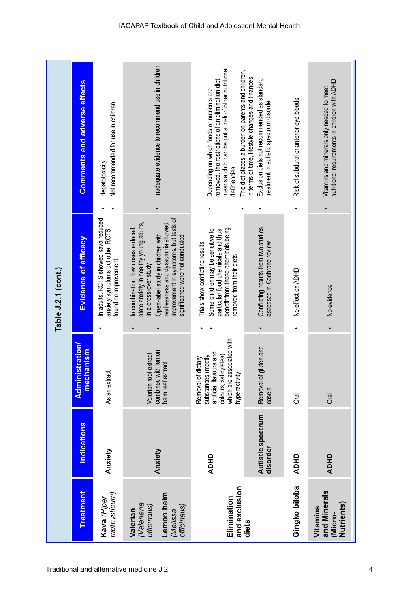|                                                                                  |                               |                                                                                                                                            | Table J.2.1 (cont.)                                                                                                                                                                                                                                       |                                                                                                                                                                                                                            |
|----------------------------------------------------------------------------------|-------------------------------|--------------------------------------------------------------------------------------------------------------------------------------------|-----------------------------------------------------------------------------------------------------------------------------------------------------------------------------------------------------------------------------------------------------------|----------------------------------------------------------------------------------------------------------------------------------------------------------------------------------------------------------------------------|
| <b>Treatment</b>                                                                 | Indications                   | <b>Administration/</b><br>mechanism                                                                                                        | Evidence of efficacy                                                                                                                                                                                                                                      | <b>Comments and adverse effects</b>                                                                                                                                                                                        |
| methysticum)<br>Kava (Piper                                                      | Anxiety                       | As an extract                                                                                                                              | In adults, RCTS showed kava reduced<br>anxiety symptoms but other RCTS<br>found no improvement                                                                                                                                                            | Not recommended for use in children<br>Hepatotoxicity                                                                                                                                                                      |
| Lemon balm<br>(Valeriana<br>officinalis)<br>officinalis)<br>Valerian<br>(Melissa | Anxiety                       | combined with lemon<br>Valerian root extract<br>balm leaf extract                                                                          | improvement in symptoms, but tests of<br>state anxiety in healthy young adults,<br>restlessness and dyssomnia showed<br>n combination, low doses reduced<br>Open-label study in children with<br>significance were not conducted<br>in a cross-over study | Inadequate evidence to recommend use in children                                                                                                                                                                           |
| and exclusion<br>Elimination                                                     | <b>ADHD</b>                   | which are associated with<br>artificial flavours and<br>colours, salicylates)<br>substances (mostly<br>Removal of dietary<br>hyperactivity | benefit from those chemicals being<br>particular food chemicals and thus<br>Some children may be sensitive to<br>Trials show conflicting results<br>removed from their diets                                                                              | means a child can be put at risk of other nutritional<br>The diet places a burden on parents and children,<br>emoved, the restrictions of an elimination diet<br>Depending on which foods or nutrients are<br>deficiencies |
| diets                                                                            | Autistic spectrum<br>disorder | gluten and<br>Removal of<br>casein                                                                                                         | Conflicting results from two studies<br>assessed in Cochrane review                                                                                                                                                                                       | in terms of time, lifestyle changes and finances<br>Exclusion diets not recommended as standard<br>treatment in autistic spectrum disorder                                                                                 |
| Gingko biloba                                                                    | <b>ADHD</b>                   | ල<br>ල                                                                                                                                     | No effect on ADHD                                                                                                                                                                                                                                         | Risk of subdural or anterior eye bleeds                                                                                                                                                                                    |
| and Minerals<br><b>Nutrients</b><br>Vitamins<br>(Micro-                          | <b>ADHD</b>                   | <b>Drai</b>                                                                                                                                | No evidence                                                                                                                                                                                                                                               | nutritional requirements in children with ADHD<br>Vitamins and minerals only needed to meet                                                                                                                                |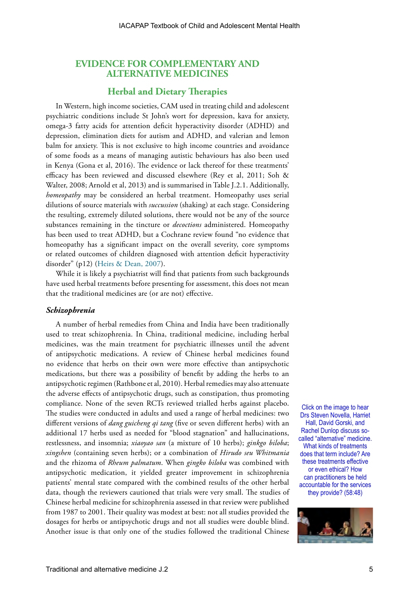# **EVIDENCE FOR COMPLEMENTARY AND ALTERNATIVE MEDICINES**

# **Herbal and Dietary Therapies**

In Western, high income societies, CAM used in treating child and adolescent psychiatric conditions include St John's wort for depression, kava for anxiety, omega-3 fatty acids for attention deficit hyperactivity disorder (ADHD) and depression, elimination diets for autism and ADHD, and valerian and lemon balm for anxiety. This is not exclusive to high income countries and avoidance of some foods as a means of managing autistic behaviours has also been used in Kenya (Gona et al, 2016). The evidence or lack thereof for these treatments' efficacy has been reviewed and discussed elsewhere (Rey et al, 2011; Soh & Walter, 2008; Arnold et al, 2013) and is summarised in Table J.2.1. Additionally, *homeopathy* may be considered an herbal treatment. Homeopathy uses serial dilutions of source materials with *succussion* (shaking) at each stage. Considering the resulting, extremely diluted solutions, there would not be any of the source substances remaining in the tincture or *decoctions* administered. Homeopathy has been used to treat ADHD, but a Cochrane review found "no evidence that homeopathy has a significant impact on the overall severity, core symptoms or related outcomes of children diagnosed with attention deficit hyperactivity disorder" (p12) [\(Heirs & Dean, 2007](https://doi.org/10.1002/14651858.CD005648.pub2)).

While it is likely a psychiatrist will find that patients from such backgrounds have used herbal treatments before presenting for assessment, this does not mean that the traditional medicines are (or are not) effective.

#### *Schizophrenia*

A number of herbal remedies from China and India have been traditionally used to treat schizophrenia. In China, traditional medicine, including herbal medicines, was the main treatment for psychiatric illnesses until the advent of antipsychotic medications. A review of Chinese herbal medicines found no evidence that herbs on their own were more effective than antipsychotic medications, but there was a possibility of benefit by adding the herbs to an antipsychotic regimen (Rathbone et al, 2010). Herbal remedies may also attenuate the adverse effects of antipsychotic drugs, such as constipation, thus promoting compliance. None of the seven RCTs reviewed trialled herbs against placebo. The studies were conducted in adults and used a range of herbal medicines: two different versions of *dang guicheng qi tang* (five or seven different herbs) with an additional 17 herbs used as needed for "blood stagnation" and hallucinations, restlessness, and insomnia; *xiaoyao san* (a mixture of 10 herbs); *ginkgo biloba*; *xingshen* (containing seven herbs); or a combination of *Hirudo seu Whitmania*  and the rhizoma of *Rheum palmatum*. When *gingko biloba* was combined with antipsychotic medication, it yielded greater improvement in schizophrenia patients' mental state compared with the combined results of the other herbal data, though the reviewers cautioned that trials were very small. The studies of Chinese herbal medicine for schizophrenia assessed in that review were published from 1987 to 2001. Their quality was modest at best: not all studies provided the dosages for herbs or antipsychotic drugs and not all studies were double blind. Another issue is that only one of the studies followed the traditional Chinese

Click on the image to hear Drs Steven Novella, Harriet Hall, David Gorski, and Rachel Dunlop discuss socalled "alternative" medicine. What kinds of treatments does that term include? Are these treatments effective or even ethical? How can practitioners be held accountable for the services they provide? (58:48)

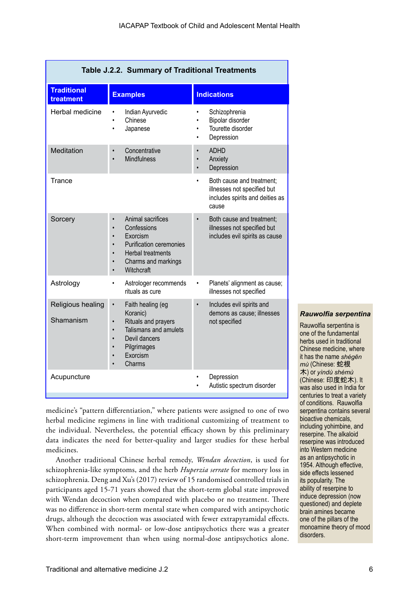| Table J.2.2. Summary of Traditional Treatments |                                                                                                                                                                                                      |                                                                                                                  |  |  |
|------------------------------------------------|------------------------------------------------------------------------------------------------------------------------------------------------------------------------------------------------------|------------------------------------------------------------------------------------------------------------------|--|--|
| <b>Traditional</b><br>treatment                | <b>Examples</b>                                                                                                                                                                                      | <b>Indications</b>                                                                                               |  |  |
| Herbal medicine                                | Indian Ayurvedic<br>Chinese<br>Japanese<br>$\bullet$                                                                                                                                                 | Schizophrenia<br>$\bullet$<br>Bipolar disorder<br>٠<br>Tourette disorder<br>$\bullet$<br>Depression<br>$\bullet$ |  |  |
| Meditation                                     | Concentrative<br>$\bullet$<br><b>Mindfulness</b><br>$\bullet$                                                                                                                                        | <b>ADHD</b><br>$\bullet$<br>Anxiety<br>$\bullet$<br>Depression                                                   |  |  |
| <b>Trance</b>                                  |                                                                                                                                                                                                      | Both cause and treatment;<br>illnesses not specified but<br>includes spirits and deities as<br>cause             |  |  |
| Sorcery                                        | Animal sacrifices<br>Confessions<br>$\bullet$<br>Exorcism<br>$\bullet$<br><b>Purification ceremonies</b><br>$\bullet$<br><b>Herbal treatments</b><br>$\bullet$<br>Charms and markings<br>Witchcraft  | Both cause and treatment;<br>$\bullet$<br>illnesses not specified but<br>includes evil spirits as cause          |  |  |
| Astrology                                      | Astrologer recommends<br>rituals as cure                                                                                                                                                             | Planets' alignment as cause;<br>illnesses not specified                                                          |  |  |
| Religious healing<br>Shamanism                 | Faith healing (eg<br>$\bullet$<br>Koranic)<br>Rituals and prayers<br>$\bullet$<br>Talismans and amulets<br>$\bullet$<br>Devil dancers<br>$\bullet$<br>Pilgrimages<br>$\bullet$<br>Exorcism<br>Charms | Includes evil spirits and<br>demons as cause; illnesses<br>not specified                                         |  |  |
| Acupuncture                                    |                                                                                                                                                                                                      | Depression<br>Autistic spectrum disorder                                                                         |  |  |
|                                                |                                                                                                                                                                                                      |                                                                                                                  |  |  |

*Rauwolfia serpentina*

Rauwolfia serpentina is one of the fundamental herbs used in traditional Chinese medicine, where it has the name *shégēn mù* (Chinese: 蛇根 木) or *yìndù shémù*  (Chinese: 印度蛇木). It was also used in India for centuries to treat a variety

medicine's "pattern differentiation," where patients were assigned to one of two herbal medicine regimens in line with traditional customizing of treatment to the individual. Nevertheless, the potential efficacy shown by this preliminary data indicates the need for better-quality and larger studies for these herbal medicines.

Another traditional Chinese herbal remedy, *Wendan decoction*, is used for schizophrenia-like symptoms, and the herb *Huperzia serrate* for memory loss in schizophrenia. Deng and Xu's (2017) review of 15 randomised controlled trials in participants aged 15-71 years showed that the short-term global state improved with Wendan decoction when compared with placebo or no treatment. There was no difference in short-term mental state when compared with antipsychotic drugs, although the decoction was associated with fewer extrapyramidal effects. When combined with normal- or low-dose antipsychotics there was a greater short-term improvement than when using normal-dose antipsychotics alone.

of conditions. Rauwolfia serpentina contains several bioactive chemicals, including yohimbine, and reserpine. The alkaloid reserpine was introduced into Western medicine as an antipsychotic in 1954. Although effective, side effects lessened its popularity. The ability of reserpine to induce depression (now questioned) and deplete brain amines became one of the pillars of the monoamine theory of mood disorders.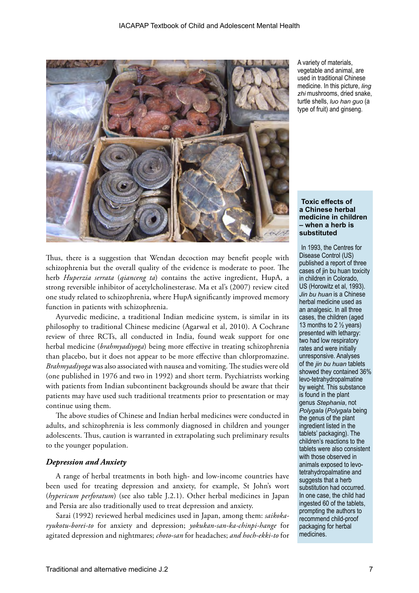

Thus, there is a suggestion that Wendan decoction may benefit people with schizophrenia but the overall quality of the evidence is moderate to poor. The herb *Huperzia serrata* (*qianceng ta*) contains the active ingredient, HupA, a strong reversible inhibitor of acetylcholinesterase. Ma et al's (2007) review cited one study related to schizophrenia, where HupA significantly improved memory function in patients with schizophrenia.

Ayurvedic medicine, a traditional Indian medicine system, is similar in its philosophy to traditional Chinese medicine (Agarwal et al, 2010). A Cochrane review of three RCTs, all conducted in India, found weak support for one herbal medicine (*brahmyadiyoga*) being more effective in treating schizophrenia than placebo, but it does not appear to be more effective than chlorpromazine. *Brahmyadiyoga* was also associated with nausea and vomiting. The studies were old (one published in 1976 and two in 1992) and short term. Psychiatrists working with patients from Indian subcontinent backgrounds should be aware that their patients may have used such traditional treatments prior to presentation or may continue using them.

The above studies of Chinese and Indian herbal medicines were conducted in adults, and schizophrenia is less commonly diagnosed in children and younger adolescents. Thus, caution is warranted in extrapolating such preliminary results to the younger population.

## *Depression and Anxiety*

A range of herbal treatments in both high- and low-income countries have been used for treating depression and anxiety, for example, St John's wort (*hypericum perforatum*) (see also table J.2.1). Other herbal medicines in Japan and Persia are also traditionally used to treat depression and anxiety.

Sarai (1992) reviewed herbal medicines used in Japan, among them: *saikokaryukotu-borei-to* for anxiety and depression; *yokukan-san-ka-chinpi-hange* for agitated depression and nightmares; *choto-san* for headaches; *and hoch-ekki-to* for

A variety of materials, vegetable and animal, are used in traditional Chinese medicine. In this picture, *ling zhi* mushrooms, dried snake, turtle shells, *luo han guo* (a type of fruit) and ginseng.

**Toxic effects of a Chinese herbal medicine in children – when a herb is substituted**

In 1993, the Centres for Disease Control (US) published a report of three cases of jin bu huan toxicity in children in Colorado, US (Horowitz et al, 1993). *Jin bu huan* is a Chinese herbal medicine used as an analgesic. In all three cases, the children (aged 13 months to 2  $\frac{1}{2}$  years) presented with lethargy: two had low respiratory rates and were initially unresponsive. Analyses of the *jin bu huan* tablets showed they contained 36% levo-tetrahydropalmatine by weight. This substance is found in the plant genus *Stephania*, not *Polygala* (*Polygala* being the genus of the plant ingredient listed in the tablets' packaging). The children's reactions to the tablets were also consistent with those observed in animals exposed to levotetrahydropalmatine and suggests that a herb substitution had occurred. In one case, the child had ingested 60 of the tablets, prompting the authors to recommend child-proof packaging for herbal medicines.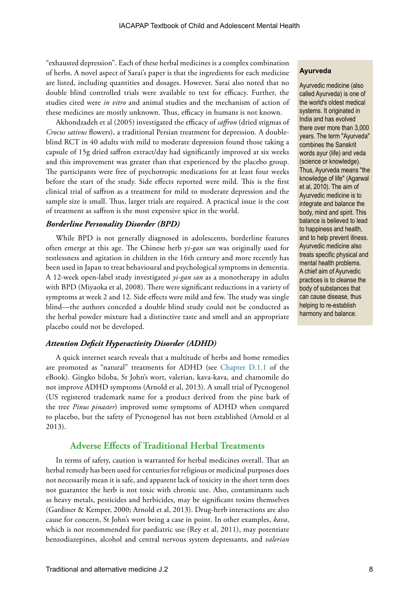"exhausted depression". Each of these herbal medicines is a complex combination of herbs. A novel aspect of Sarai's paper is that the ingredients for each medicine are listed, including quantities and dosages. However, Sarai also noted that no double blind controlled trials were available to test for efficacy. Further, the studies cited were *in vitro* and animal studies and the mechanism of action of these medicines are mostly unknown. Thus, efficacy in humans is not known.

Akhondzadeh et al (2005) investigated the efficacy of *saffron* (dried stigmas of *Crocus sativus* flowers), a traditional Persian treatment for depression. A doubleblind RCT in 40 adults with mild to moderate depression found those taking a capsule of 15g dried saffron extract/day had significantly improved at six weeks and this improvement was greater than that experienced by the placebo group. The participants were free of psychotropic medications for at least four weeks before the start of the study. Side effects reported were mild. This is the first clinical trial of saffron as a treatment for mild to moderate depression and the sample size is small. Thus, larger trials are required. A practical issue is the cost of treatment as saffron is the most expensive spice in the world.

#### *Borderline Personality Disorder (BPD)*

While BPD is not generally diagnosed in adolescents, borderline features often emerge at this age. The Chinese herb y*i-gan san* was originally used for restlessness and agitation in children in the 16th century and more recently has been used in Japan to treat behavioural and psychological symptoms in dementia. A 12-week open-label study investigated *yi-gan san* as a monotherapy in adults with BPD (Miyaoka et al, 2008). There were significant reductions in a variety of symptoms at week 2 and 12. Side effects were mild and few. The study was single blind—the authors conceded a double blind study could not be conducted as the herbal powder mixture had a distinctive taste and smell and an appropriate placebo could not be developed.

## *Attention Deficit Hyperactivity Disorder (ADHD)*

A quick internet search reveals that a multitude of herbs and home remedies are promoted as "natural" treatments for ADHD (see [Chapter D.1.1](https://iacapap.org/wp-content/uploads/D.1.1-ADHD-NON-PHARMA-2016.pdf) of the eBook). Gingko biloba, St John's wort, valerian, kava-kava, and chamomile do not improve ADHD symptoms (Arnold et al, 2013). A small trial of Pycnogenol (US registered trademark name for a product derived from the pine bark of the tree *Pinus pinaster*) improved some symptoms of ADHD when compared to placebo, but the safety of Pycnogenol has not been established (Arnold et al 2013).

# **Adverse Effects of Traditional Herbal Treatments**

In terms of safety, caution is warranted for herbal medicines overall. That an herbal remedy has been used for centuries for religious or medicinal purposes does not necessarily mean it is safe, and apparent lack of toxicity in the short term does not guarantee the herb is not toxic with chronic use. Also, contaminants such as heavy metals, pesticides and herbicides, may be significant toxins themselves (Gardiner & Kemper, 2000; Arnold et al, 2013). Drug-herb interactions are also cause for concern, St John's wort being a case in point. In other examples, *kava*, which is not recommended for paediatric use (Rey et al, 2011), may potentiate benzodiazepines, alcohol and central nervous system depressants, and *valerian* 

#### **Ayurveda**

Ayurvedic medicine (also called Ayurveda) is one of the world's oldest medical systems. It originated in India and has evolved there over more than 3,000 years. The term "Ayurveda" combines the Sanskrit words ayur (life) and veda (science or knowledge). Thus, Ayurveda means "the knowledge of life" (Agarwal et al, 2010). The aim of Ayurvedic medicine is to integrate and balance the body, mind and spirit. This balance is believed to lead to happiness and health, and to help prevent illness. Ayurvedic medicine also treats specific physical and mental health problems. A chief aim of Ayurvedic practices is to cleanse the body of substances that can cause disease, thus helping to re-establish harmony and balance.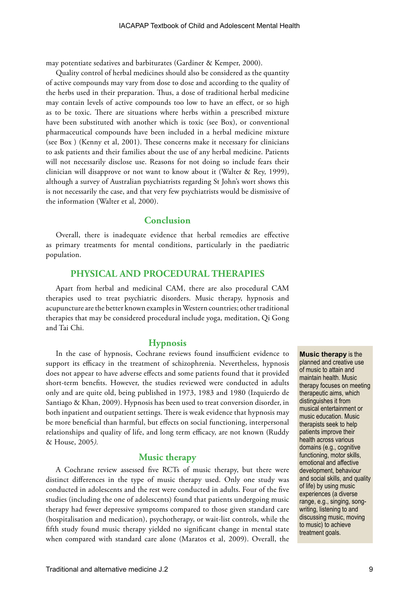may potentiate sedatives and barbiturates (Gardiner & Kemper, 2000).

Quality control of herbal medicines should also be considered as the quantity of active compounds may vary from dose to dose and according to the quality of the herbs used in their preparation. Thus, a dose of traditional herbal medicine may contain levels of active compounds too low to have an effect, or so high as to be toxic. There are situations where herbs within a prescribed mixture have been substituted with another which is toxic (see Box), or conventional pharmaceutical compounds have been included in a herbal medicine mixture (see Box ) (Kenny et al, 2001). These concerns make it necessary for clinicians to ask patients and their families about the use of any herbal medicine. Patients will not necessarily disclose use. Reasons for not doing so include fears their clinician will disapprove or not want to know about it (Walter & Rey, 1999), although a survey of Australian psychiatrists regarding St John's wort shows this is not necessarily the case, and that very few psychiatrists would be dismissive of the information (Walter et al, 2000).

# **Conclusion**

Overall, there is inadequate evidence that herbal remedies are effective as primary treatments for mental conditions, particularly in the paediatric population.

# **PHYSICAL AND PROCEDURAL THERAPIES**

Apart from herbal and medicinal CAM, there are also procedural CAM therapies used to treat psychiatric disorders. Music therapy, hypnosis and acupuncture are the better known examples in Western countries; other traditional therapies that may be considered procedural include yoga, meditation, Qi Gong and Tai Chi.

# **Hypnosis**

In the case of hypnosis, Cochrane reviews found insufficient evidence to support its efficacy in the treatment of schizophrenia. Nevertheless, hypnosis does not appear to have adverse effects and some patients found that it provided short-term benefits. However, the studies reviewed were conducted in adults only and are quite old, being published in 1973, 1983 and 1980 (Izquierdo de Santiago & Khan, 2009). Hypnosis has been used to treat conversion disorder, in both inpatient and outpatient settings. There is weak evidence that hypnosis may be more beneficial than harmful, but effects on social functioning, interpersonal relationships and quality of life, and long term efficacy, are not known (Ruddy & House, 2005*).*

# **Music therapy**

A Cochrane review assessed five RCTs of music therapy, but there were distinct differences in the type of music therapy used. Only one study was conducted in adolescents and the rest were conducted in adults. Four of the five studies (including the one of adolescents) found that patients undergoing music therapy had fewer depressive symptoms compared to those given standard care (hospitalisation and medication), psychotherapy, or wait-list controls, while the fifth study found music therapy yielded no significant change in mental state when compared with standard care alone (Maratos et al, 2009). Overall, the

**Music therapy** is the planned and creative use of music to attain and maintain health. Music therapy focuses on meeting therapeutic aims, which distinguishes it from musical entertainment or music education. Music therapists seek to help patients improve their health across various domains (e.g., cognitive functioning, motor skills, emotional and affective development, behaviour and social skills, and quality of life) by using music experiences (a diverse range, e.g., singing, songwriting, listening to and discussing music, moving to music) to achieve treatment goals.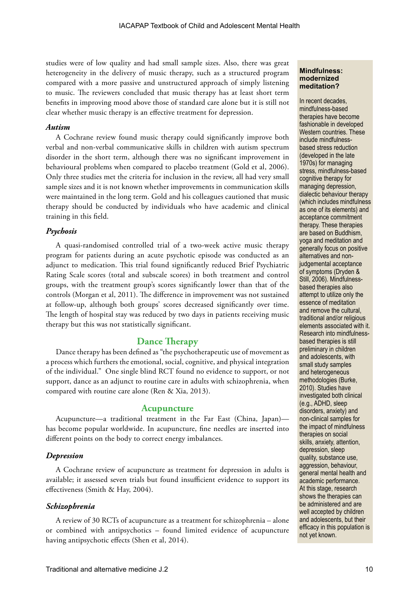studies were of low quality and had small sample sizes. Also, there was great heterogeneity in the delivery of music therapy, such as a structured program compared with a more passive and unstructured approach of simply listening to music. The reviewers concluded that music therapy has at least short term benefits in improving mood above those of standard care alone but it is still not clear whether music therapy is an effective treatment for depression.

#### *Autism*

A Cochrane review found music therapy could significantly improve both verbal and non-verbal communicative skills in children with autism spectrum disorder in the short term, although there was no significant improvement in behavioural problems when compared to placebo treatment (Gold et al, 2006). Only three studies met the criteria for inclusion in the review, all had very small sample sizes and it is not known whether improvements in communication skills were maintained in the long term. Gold and his colleagues cautioned that music therapy should be conducted by individuals who have academic and clinical training in this field.

## *Psychosis*

A quasi-randomised controlled trial of a two-week active music therapy program for patients during an acute psychotic episode was conducted as an adjunct to medication. This trial found significantly reduced Brief Psychiatric Rating Scale scores (total and subscale scores) in both treatment and control groups, with the treatment group's scores significantly lower than that of the controls (Morgan et al, 2011). The difference in improvement was not sustained at follow-up, although both groups' scores decreased significantly over time. The length of hospital stay was reduced by two days in patients receiving music therapy but this was not statistically significant.

## **Dance Therapy**

Dance therapy has been defined as "the psychotherapeutic use of movement as a process which furthers the emotional, social, cognitive, and physical integration of the individual." One single blind RCT found no evidence to support, or not support, dance as an adjunct to routine care in adults with schizophrenia, when compared with routine care alone (Ren & Xia, 2013).

#### **Acupuncture**

Acupuncture—a traditional treatment in the Far East (China, Japan) has become popular worldwide. In acupuncture, fine needles are inserted into different points on the body to correct energy imbalances.

## *Depression*

A Cochrane review of acupuncture as treatment for depression in adults is available; it assessed seven trials but found insufficient evidence to support its effectiveness (Smith & Hay, 2004).

#### *Schizophrenia*

A review of 30 RCTs of acupuncture as a treatment for schizophrenia – alone or combined with antipsychotics – found limited evidence of acupuncture having antipsychotic effects (Shen et al, 2014).

#### **Mindfulness: modernized meditation?**

In recent decades, mindfulness-based therapies have become fashionable in developed Western countries. These include mindfulnessbased stress reduction (developed in the late 1970s) for managing stress, mindfulness-based cognitive therapy for managing depression, dialectic behaviour therapy (which includes mindfulness as one of its elements) and acceptance commitment therapy. These therapies are based on Buddhism, yoga and meditation and generally focus on positive alternatives and nonjudgemental acceptance of symptoms (Dryden & Still, 2006). Mindfulnessbased therapies also attempt to utilize only the essence of meditation and remove the cultural, traditional and/or religious elements associated with it. Research into mindfulnessbased therapies is still preliminary in children and adolescents, with small study samples and heterogeneous methodologies (Burke, 2010). Studies have investigated both clinical (e.g., ADHD, sleep disorders, anxiety) and non-clinical samples for the impact of mindfulness therapies on social skills, anxiety, attention, depression, sleep quality, substance use, aggression, behaviour, general mental health and academic performance. At this stage, research shows the therapies can be administered and are well accepted by children and adolescents, but their efficacy in this population is not yet known.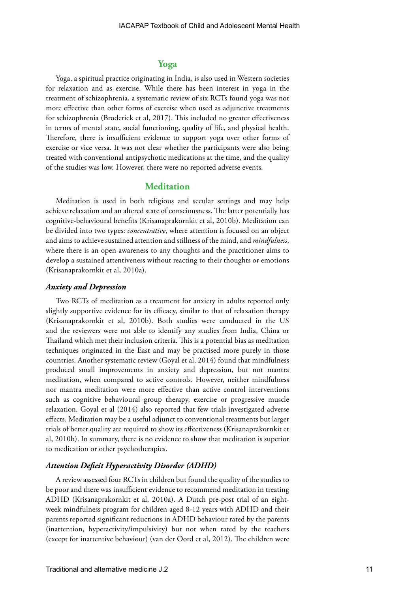# **Yoga**

Yoga, a spiritual practice originating in India, is also used in Western societies for relaxation and as exercise. While there has been interest in yoga in the treatment of schizophrenia, a systematic review of six RCTs found yoga was not more effective than other forms of exercise when used as adjunctive treatments for schizophrenia (Broderick et al, 2017). This included no greater effectiveness in terms of mental state, social functioning, quality of life, and physical health. Therefore, there is insufficient evidence to support yoga over other forms of exercise or vice versa. It was not clear whether the participants were also being treated with conventional antipsychotic medications at the time, and the quality of the studies was low. However, there were no reported adverse events.

## **Meditation**

Meditation is used in both religious and secular settings and may help achieve relaxation and an altered state of consciousness. The latter potentially has cognitive-behavioural benefits (Krisanaprakornkit et al, 2010b). Meditation can be divided into two types: *concentrative*, where attention is focused on an object and aims to achieve sustained attention and stillness of the mind, and *mindfulness*, where there is an open awareness to any thoughts and the practitioner aims to develop a sustained attentiveness without reacting to their thoughts or emotions (Krisanaprakornkit et al, 2010a).

## *Anxiety and Depression*

Two RCTs of meditation as a treatment for anxiety in adults reported only slightly supportive evidence for its efficacy, similar to that of relaxation therapy (Krisanaprakornkit et al, 2010b). Both studies were conducted in the US and the reviewers were not able to identify any studies from India, China or Thailand which met their inclusion criteria. This is a potential bias as meditation techniques originated in the East and may be practised more purely in those countries. Another systematic review (Goyal et al, 2014) found that mindfulness produced small improvements in anxiety and depression, but not mantra meditation, when compared to active controls. However, neither mindfulness nor mantra meditation were more effective than active control interventions such as cognitive behavioural group therapy, exercise or progressive muscle relaxation. Goyal et al (2014) also reported that few trials investigated adverse effects. Meditation may be a useful adjunct to conventional treatments but larger trials of better quality are required to show its effectiveness (Krisanaprakornkit et al, 2010b). In summary, there is no evidence to show that meditation is superior to medication or other psychotherapies.

#### *Attention Deficit Hyperactivity Disorder (ADHD)*

A review assessed four RCTs in children but found the quality of the studies to be poor and there was insufficient evidence to recommend meditation in treating ADHD (Krisanaprakornkit et al, 2010a). A Dutch pre-post trial of an eightweek mindfulness program for children aged 8-12 years with ADHD and their parents reported significant reductions in ADHD behaviour rated by the parents (inattention, hyperactivity/impulsivity) but not when rated by the teachers (except for inattentive behaviour) (van der Oord et al, 2012). The children were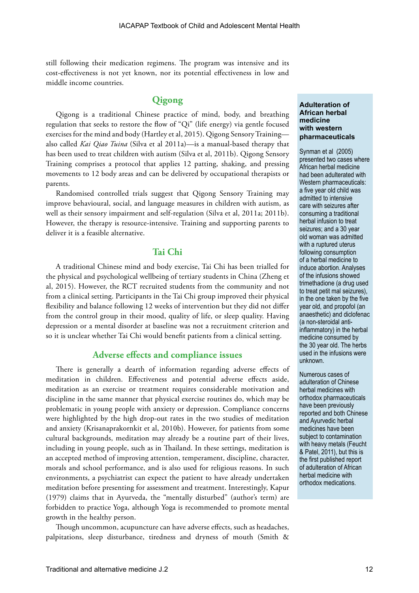still following their medication regimens. The program was intensive and its cost-effectiveness is not yet known, nor its potential effectiveness in low and middle income countries.

# **Qigong**

Qigong is a traditional Chinese practice of mind, body, and breathing regulation that seeks to restore the flow of "Qi" (life energy) via gentle focused exercises for the mind and body (Hartley et al, 2015). Qigong Sensory Training also called *Kai Qiao Tuina* (Silva et al 2011a)—is a manual-based therapy that has been used to treat children with autism (Silva et al, 2011b). Qigong Sensory Training comprises a protocol that applies 12 patting, shaking, and pressing movements to 12 body areas and can be delivered by occupational therapists or parents.

Randomised controlled trials suggest that Qigong Sensory Training may improve behavioural, social, and language measures in children with autism, as well as their sensory impairment and self-regulation (Silva et al, 2011a; 2011b). However, the therapy is resource-intensive. Training and supporting parents to deliver it is a feasible alternative.

# **Tai Chi**

A traditional Chinese mind and body exercise, Tai Chi has been trialled for the physical and psychological wellbeing of tertiary students in China (Zheng et al, 2015). However, the RCT recruited students from the community and not from a clinical setting. Participants in the Tai Chi group improved their physical flexibility and balance following 12 weeks of intervention but they did not differ from the control group in their mood, quality of life, or sleep quality. Having depression or a mental disorder at baseline was not a recruitment criterion and so it is unclear whether Tai Chi would benefit patients from a clinical setting.

# **Adverse effects and compliance issues**

There is generally a dearth of information regarding adverse effects of meditation in children. Effectiveness and potential adverse effects aside, meditation as an exercise or treatment requires considerable motivation and discipline in the same manner that physical exercise routines do, which may be problematic in young people with anxiety or depression. Compliance concerns were highlighted by the high drop-out rates in the two studies of meditation and anxiety (Krisanaprakornkit et al, 2010b). However, for patients from some cultural backgrounds, meditation may already be a routine part of their lives, including in young people, such as in Thailand. In these settings, meditation is an accepted method of improving attention, temperament, discipline, character, morals and school performance, and is also used for religious reasons. In such environments, a psychiatrist can expect the patient to have already undertaken meditation before presenting for assessment and treatment. Interestingly, Kapur (1979) claims that in Ayurveda, the "mentally disturbed" (author's term) are forbidden to practice Yoga, although Yoga is recommended to promote mental growth in the healthy person.

Though uncommon, acupuncture can have adverse effects, such as headaches, palpitations, sleep disturbance, tiredness and dryness of mouth (Smith &

#### **Adulteration of African herbal medicine with western pharmaceuticals**

Synman et al (2005) presented two cases where African herbal medicine had been adulterated with Western pharmaceuticals: a five year old child was admitted to intensive care with seizures after consuming a traditional herbal infusion to treat seizures; and a 30 year old woman was admitted with a ruptured uterus following consumption of a herbal medicine to induce abortion. Analyses of the infusions showed trimethadione (a drug used to treat petit mal seizures), in the one taken by the five year old, and propofol (an anaesthetic) and diclofenac (a non-steroidal antiinflammatory) in the herbal medicine consumed by the 30 year old. The herbs used in the infusions were unknown.

Numerous cases of adulteration of Chinese herbal medicines with orthodox pharmaceuticals have been previously reported and both Chinese and Ayurvedic herbal medicines have been subject to contamination with heavy metals (Feucht & Patel, 2011), but this is the first published report of adulteration of African herbal medicine with orthodox medications.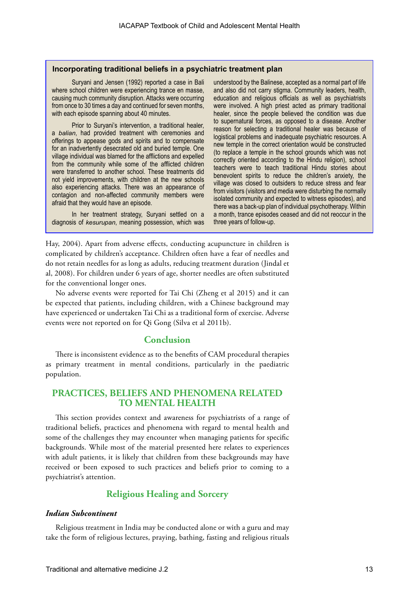#### **Incorporating traditional beliefs in a psychiatric treatment plan**

Suryani and Jensen (1992) reported a case in Bali where school children were experiencing trance en masse, causing much community disruption. Attacks were occurring from once to 30 times a day and continued for seven months, with each episode spanning about 40 minutes.

Prior to Suryani's intervention, a traditional healer, a *balian*, had provided treatment with ceremonies and offerings to appease gods and spirits and to compensate for an inadvertently desecrated old and buried temple. One village individual was blamed for the afflictions and expelled from the community while some of the afflicted children were transferred to another school. These treatments did not yield improvements, with children at the new schools also experiencing attacks. There was an appearance of contagion and non-affected community members were afraid that they would have an episode.

In her treatment strategy, Suryani settled on a diagnosis of *kesurupan*, meaning possession, which was

understood by the Balinese, accepted as a normal part of life and also did not carry stigma. Community leaders, health, education and religious officials as well as psychiatrists were involved. A high priest acted as primary traditional healer, since the people believed the condition was due to supernatural forces, as opposed to a disease. Another reason for selecting a traditional healer was because of logistical problems and inadequate psychiatric resources. A new temple in the correct orientation would be constructed (to replace a temple in the school grounds which was not correctly oriented according to the Hindu religion), school teachers were to teach traditional Hindu stories about benevolent spirits to reduce the children's anxiety, the village was closed to outsiders to reduce stress and fear from visitors (visitors and media were disturbing the normally isolated community and expected to witness episodes), and there was a back-up plan of individual psychotherapy. Within a month, trance episodes ceased and did not reoccur in the three years of follow-up.

Hay, 2004). Apart from adverse effects, conducting acupuncture in children is complicated by children's acceptance. Children often have a fear of needles and do not retain needles for as long as adults, reducing treatment duration (Jindal et al, 2008). For children under 6 years of age, shorter needles are often substituted for the conventional longer ones.

No adverse events were reported for Tai Chi (Zheng et al 2015) and it can be expected that patients, including children, with a Chinese background may have experienced or undertaken Tai Chi as a traditional form of exercise. Adverse events were not reported on for Qi Gong (Silva et al 2011b).

# **Conclusion**

There is inconsistent evidence as to the benefits of CAM procedural therapies as primary treatment in mental conditions, particularly in the paediatric population.

# **PRACTICES, BELIEFS AND PHENOMENA RELATED TO MENTAL HEALTH**

This section provides context and awareness for psychiatrists of a range of traditional beliefs, practices and phenomena with regard to mental health and some of the challenges they may encounter when managing patients for specific backgrounds. While most of the material presented here relates to experiences with adult patients, it is likely that children from these backgrounds may have received or been exposed to such practices and beliefs prior to coming to a psychiatrist's attention.

# **Religious Healing and Sorcery**

#### *Indian Subcontinent*

Religious treatment in India may be conducted alone or with a guru and may take the form of religious lectures, praying, bathing, fasting and religious rituals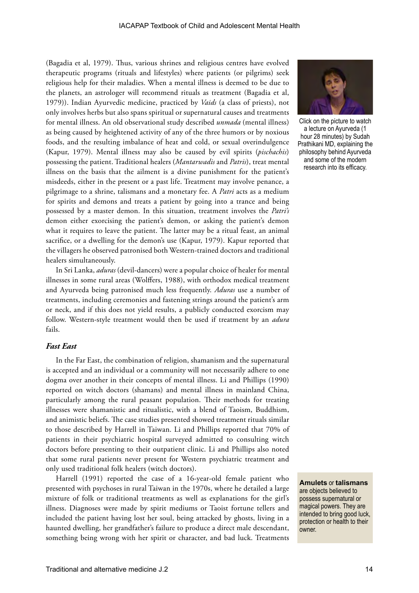(Bagadia et al, 1979). Thus, various shrines and religious centres have evolved therapeutic programs (rituals and lifestyles) where patients (or pilgrims) seek religious help for their maladies. When a mental illness is deemed to be due to the planets, an astrologer will recommend rituals as treatment (Bagadia et al, 1979)). Indian Ayurvedic medicine, practiced by *Vaids* (a class of priests), not only involves herbs but also spans spiritual or supernatural causes and treatments for mental illness. An old observational study described *unmada* (mental illness) as being caused by heightened activity of any of the three humors or by noxious foods, and the resulting imbalance of heat and cold, or sexual overindulgence (Kapur, 1979). Mental illness may also be caused by evil spirits (*pischachis*) possessing the patient. Traditional healers (*Mantarwadis* and *Patris*), treat mental illness on the basis that the ailment is a divine punishment for the patient's misdeeds, either in the present or a past life. Treatment may involve penance, a pilgrimage to a shrine, talismans and a monetary fee. A *Patri* acts as a medium for spirits and demons and treats a patient by going into a trance and being possessed by a master demon. In this situation, treatment involves the *Patri's*  demon either exorcising the patient's demon, or asking the patient's demon what it requires to leave the patient. The latter may be a ritual feast, an animal sacrifice, or a dwelling for the demon's use (Kapur, 1979). Kapur reported that the villagers he observed patronised both Western-trained doctors and traditional healers simultaneously.

In Sri Lanka, *aduras* (devil-dancers) were a popular choice of healer for mental illnesses in some rural areas (Wolffers, 1988), with orthodox medical treatment and Ayurveda being patronised much less frequently. *Aduras* use a number of treatments, including ceremonies and fastening strings around the patient's arm or neck, and if this does not yield results, a publicly conducted exorcism may follow. Western-style treatment would then be used if treatment by an *adura*  fails.

## *Fast East*

In the Far East, the combination of religion, shamanism and the supernatural is accepted and an individual or a community will not necessarily adhere to one dogma over another in their concepts of mental illness. Li and Phillips (1990) reported on witch doctors (shamans) and mental illness in mainland China, particularly among the rural peasant population. Their methods for treating illnesses were shamanistic and ritualistic, with a blend of Taoism, Buddhism, and animistic beliefs. The case studies presented showed treatment rituals similar to those described by Harrell in Taiwan. Li and Phillips reported that 70% of patients in their psychiatric hospital surveyed admitted to consulting witch doctors before presenting to their outpatient clinic. Li and Phillips also noted that some rural patients never present for Western psychiatric treatment and only used traditional folk healers (witch doctors).

Harrell (1991) reported the case of a 16-year-old female patient who presented with psychoses in rural Taiwan in the 1970s, where he detailed a large mixture of folk or traditional treatments as well as explanations for the girl's illness. Diagnoses were made by spirit mediums or Taoist fortune tellers and included the patient having lost her soul, being attacked by ghosts, living in a haunted dwelling, her grandfather's failure to produce a direct male descendant, something being wrong with her spirit or character, and bad luck. Treatments



Click on the picture to watch a lecture on Ayurveda (1 hour 28 minutes) by Sudah Prathikani MD, explaining the philosophy behind Ayurveda and some of the modern research into its efficacy.

**Amulets** or **talismans** are objects believed to possess supernatural or magical powers. They are intended to bring good luck, protection or health to their owner.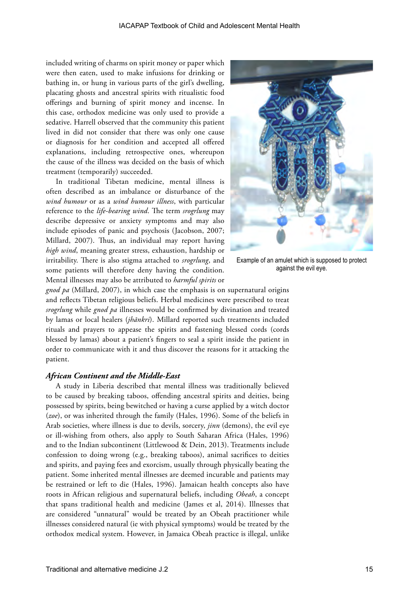included writing of charms on spirit money or paper which were then eaten, used to make infusions for drinking or bathing in, or hung in various parts of the girl's dwelling, placating ghosts and ancestral spirits with ritualistic food offerings and burning of spirit money and incense. In this case, orthodox medicine was only used to provide a sedative. Harrell observed that the community this patient lived in did not consider that there was only one cause or diagnosis for her condition and accepted all offered explanations, including retrospective ones, whereupon the cause of the illness was decided on the basis of which treatment (temporarily) succeeded.

In traditional Tibetan medicine, mental illness is often described as an imbalance or disturbance of the *wind humour* or as a *wind humour illness*, with particular reference to the *life-bearing wind*. The term *srogrlung* may describe depressive or anxiety symptoms and may also include episodes of panic and psychosis (Jacobson, 2007; Millard, 2007). Thus, an individual may report having *high wind*, meaning greater stress, exhaustion, hardship or irritability. There is also stigma attached to *srogrlung*, and some patients will therefore deny having the condition. Mental illnesses may also be attributed to *harmful spirits* or



Example of an amulet which is supposed to protect against the evil eye.

*gnod pa* (Millard, 2007), in which case the emphasis is on supernatural origins and reflects Tibetan religious beliefs. Herbal medicines were prescribed to treat *srogrlung* while *gnod pa* illnesses would be confirmed by divination and treated by lamas or local healers (*jhānkri*). Millard reported such treatments included rituals and prayers to appease the spirits and fastening blessed cords (cords blessed by lamas) about a patient's fingers to seal a spirit inside the patient in order to communicate with it and thus discover the reasons for it attacking the patient.

## *African Continent and the Middle-East*

A study in Liberia described that mental illness was traditionally believed to be caused by breaking taboos, offending ancestral spirits and deities, being possessed by spirits, being bewitched or having a curse applied by a witch doctor (*zoe*), or was inherited through the family (Hales, 1996). Some of the beliefs in Arab societies, where illness is due to devils, sorcery, *jinn* (demons), the evil eye or ill-wishing from others, also apply to South Saharan Africa (Hales, 1996) and to the Indian subcontinent (Littlewood & Dein, 2013). Treatments include confession to doing wrong (e.g., breaking taboos), animal sacrifices to deities and spirits, and paying fees and exorcism, usually through physically beating the patient. Some inherited mental illnesses are deemed incurable and patients may be restrained or left to die (Hales, 1996). Jamaican health concepts also have roots in African religious and supernatural beliefs, including *Obeah*, a concept that spans traditional health and medicine (James et al, 2014). Illnesses that are considered "unnatural" would be treated by an Obeah practitioner while illnesses considered natural (ie with physical symptoms) would be treated by the orthodox medical system. However, in Jamaica Obeah practice is illegal, unlike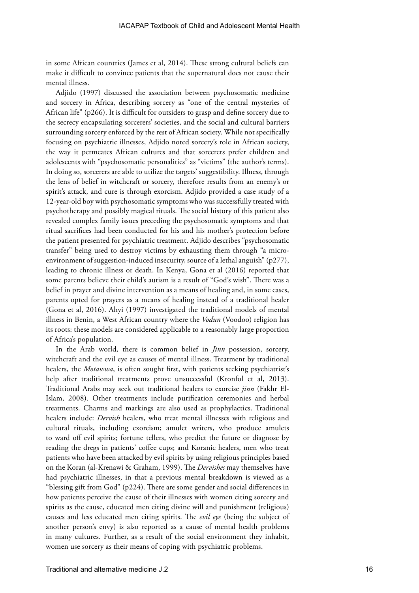in some African countries (James et al, 2014). These strong cultural beliefs can make it difficult to convince patients that the supernatural does not cause their mental illness.

Adjido (1997) discussed the association between psychosomatic medicine and sorcery in Africa, describing sorcery as "one of the central mysteries of African life" (p266). It is difficult for outsiders to grasp and define sorcery due to the secrecy encapsulating sorcerers' societies, and the social and cultural barriers surrounding sorcery enforced by the rest of African society. While not specifically focusing on psychiatric illnesses, Adjido noted sorcery's role in African society, the way it permeates African cultures and that sorcerers prefer children and adolescents with "psychosomatic personalities" as "victims" (the author's terms). In doing so, sorcerers are able to utilize the targets' suggestibility. Illness, through the lens of belief in witchcraft or sorcery, therefore results from an enemy's or spirit's attack, and cure is through exorcism. Adjido provided a case study of a 12-year-old boy with psychosomatic symptoms who was successfully treated with psychotherapy and possibly magical rituals. The social history of this patient also revealed complex family issues preceding the psychosomatic symptoms and that ritual sacrifices had been conducted for his and his mother's protection before the patient presented for psychiatric treatment. Adjido describes "psychosomatic transfer" being used to destroy victims by exhausting them through "a microenvironment of suggestion-induced insecurity, source of a lethal anguish" ( $p277$ ), leading to chronic illness or death. In Kenya, Gona et al (2016) reported that some parents believe their child's autism is a result of "God's wish". There was a belief in prayer and divine intervention as a means of healing and, in some cases, parents opted for prayers as a means of healing instead of a traditional healer (Gona et al, 2016). Ahyi (1997) investigated the traditional models of mental illness in Benin, a West African country where the *Vodun* (Voodoo) religion has its roots: these models are considered applicable to a reasonably large proportion of Africa's population.

In the Arab world, there is common belief in *Jinn* possession, sorcery, witchcraft and the evil eye as causes of mental illness. Treatment by traditional healers, the *Motawwa*, is often sought first, with patients seeking psychiatrist's help after traditional treatments prove unsuccessful (Kronfol et al, 2013). Traditional Arabs may seek out traditional healers to exorcise *jinn* (Fakhr El-Islam, 2008). Other treatments include purification ceremonies and herbal treatments. Charms and markings are also used as prophylactics. Traditional healers include: *Dervish* healers, who treat mental illnesses with religious and cultural rituals, including exorcism; amulet writers, who produce amulets to ward off evil spirits; fortune tellers, who predict the future or diagnose by reading the dregs in patients' coffee cups; and Koranic healers, men who treat patients who have been attacked by evil spirits by using religious principles based on the Koran (al-Krenawi & Graham, 1999). The *Dervishes* may themselves have had psychiatric illnesses, in that a previous mental breakdown is viewed as a "blessing gift from God" (p224). There are some gender and social differences in how patients perceive the cause of their illnesses with women citing sorcery and spirits as the cause, educated men citing divine will and punishment (religious) causes and less educated men citing spirits. The *evil eye* (being the subject of another person's envy) is also reported as a cause of mental health problems in many cultures. Further, as a result of the social environment they inhabit, women use sorcery as their means of coping with psychiatric problems.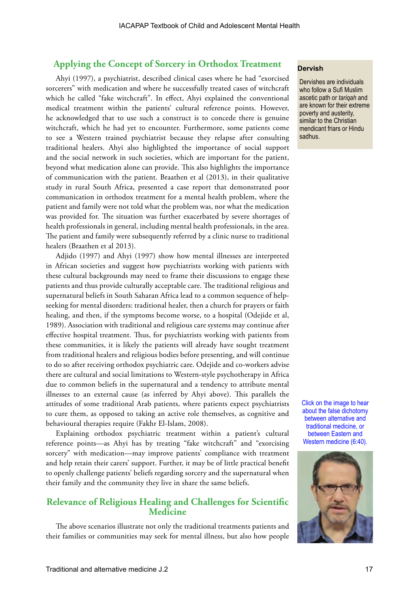# **Applying the Concept of Sorcery in Orthodox Treatment**

Ahyi (1997), a psychiatrist, described clinical cases where he had "exorcised sorcerers" with medication and where he successfully treated cases of witchcraft which he called "fake witchcraft". In effect, Ahyi explained the conventional medical treatment within the patients' cultural reference points. However, he acknowledged that to use such a construct is to concede there is genuine witchcraft, which he had yet to encounter. Furthermore, some patients come to see a Western trained psychiatrist because they relapse after consulting traditional healers. Ahyi also highlighted the importance of social support and the social network in such societies, which are important for the patient, beyond what medication alone can provide. This also highlights the importance of communication with the patient. Braathen et al (2013), in their qualitative study in rural South Africa, presented a case report that demonstrated poor communication in orthodox treatment for a mental health problem, where the patient and family were not told what the problem was, nor what the medication was provided for. The situation was further exacerbated by severe shortages of health professionals in general, including mental health professionals, in the area. The patient and family were subsequently referred by a clinic nurse to traditional healers (Braathen et al 2013).

Adjido (1997) and Ahyi (1997) show how mental illnesses are interpreted in African societies and suggest how psychiatrists working with patients with these cultural backgrounds may need to frame their discussions to engage these patients and thus provide culturally acceptable care. The traditional religious and supernatural beliefs in South Saharan Africa lead to a common sequence of helpseeking for mental disorders: traditional healer, then a church for prayers or faith healing, and then, if the symptoms become worse, to a hospital (Odejide et al, 1989). Association with traditional and religious care systems may continue after effective hospital treatment. Thus, for psychiatrists working with patients from these communities, it is likely the patients will already have sought treatment from traditional healers and religious bodies before presenting, and will continue to do so after receiving orthodox psychiatric care. Odejide and co-workers advise there are cultural and social limitations to Western-style psychotherapy in Africa due to common beliefs in the supernatural and a tendency to attribute mental illnesses to an external cause (as inferred by Ahyi above). This parallels the attitudes of some traditional Arab patients, where patients expect psychiatrists to cure them, as opposed to taking an active role themselves, as cognitive and behavioural therapies require (Fakhr El-Islam, 2008).

Explaining orthodox psychiatric treatment within a patient's cultural reference points—as Ahyi has by treating "fake witchcraft" and "exorcising sorcery" with medication—may improve patients' compliance with treatment and help retain their carers' support. Further, it may be of little practical benefit to openly challenge patients' beliefs regarding sorcery and the supernatural when their family and the community they live in share the same beliefs.

# **Relevance of Religious Healing and Challenges for Scientific Medicine**

The above scenarios illustrate not only the traditional treatments patients and their families or communities may seek for mental illness, but also how people

#### **Dervish**

Dervishes are individuals who follow a Sufi Muslim ascetic path or *tariqah* and are known for their extreme poverty and austerity, similar to the Christian mendicant friars or Hindu sadhus.

Click on the image to hear about the false dichotomy between alternative and traditional medicine, or between Eastern and Western medicine (6:40).

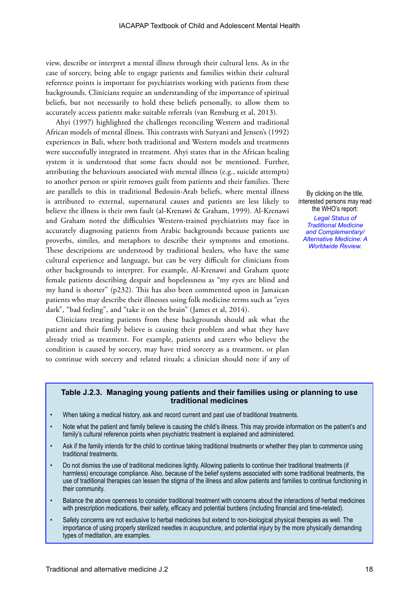view, describe or interpret a mental illness through their cultural lens. As in the case of sorcery, being able to engage patients and families within their cultural reference points is important for psychiatrists working with patients from these backgrounds. Clinicians require an understanding of the importance of spiritual beliefs, but not necessarily to hold these beliefs personally, to allow them to accurately access patients make suitable referrals (van Rensburg et al, 2013).

Ahyi (1997) highlighted the challenges reconciling Western and traditional African models of mental illness. This contrasts with Suryani and Jensen's (1992) experiences in Bali, where both traditional and Western models and treatments were successfully integrated in treatment. Ahyi states that in the African healing system it is understood that some facts should not be mentioned. Further, attributing the behaviours associated with mental illness (e.g., suicide attempts) to another person or spirit removes guilt from patients and their families. There are parallels to this in traditional Bedouin-Arab beliefs, where mental illness is attributed to external, supernatural causes and patients are less likely to believe the illness is their own fault (al-Krenawi & Graham, 1999). Al-Krenawi and Graham noted the difficulties Western-trained psychiatrists may face in accurately diagnosing patients from Arabic backgrounds because patients use proverbs, similes, and metaphors to describe their symptoms and emotions. These descriptions are understood by traditional healers, who have the same cultural experience and language, but can be very difficult for clinicians from other backgrounds to interpret. For example, Al-Krenawi and Graham quote female patients describing despair and hopelessness as "my eyes are blind and my hand is shorter" (p232). This has also been commented upon in Jamaican patients who may describe their illnesses using folk medicine terms such as "eyes dark", "bad feeling", and "take it on the brain" (James et al, 2014).

Clinicians treating patients from these backgrounds should ask what the patient and their family believe is causing their problem and what they have already tried as treatment. For example, patients and carers who believe the condition is caused by sorcery, may have tried sorcery as a treatment, or plan to continue with sorcery and related rituals; a clinician should note if any of

By clicking on the title, interested persons may read the WHO's report:

*[Legal Status of](http://apps.who.int/medicinedocs/pdf/h2943e/h2943e.pdf)  [Traditional Medicine](http://apps.who.int/medicinedocs/pdf/h2943e/h2943e.pdf)  [and Complementary/](http://apps.who.int/medicinedocs/pdf/h2943e/h2943e.pdf) [Alternative Medicine: A](http://apps.who.int/medicinedocs/pdf/h2943e/h2943e.pdf)  [Worldwide Review.](http://apps.who.int/medicinedocs/pdf/h2943e/h2943e.pdf)*

#### **Table J.2.3. Managing young patients and their families using or planning to use traditional medicines**

- When taking a medical history, ask and record current and past use of traditional treatments.
- Note what the patient and family believe is causing the child's illness. This may provide information on the patient's and family's cultural reference points when psychiatric treatment is explained and administered.
- Ask if the family intends for the child to continue taking traditional treatments or whether they plan to commence using traditional treatments.
- Do not dismiss the use of traditional medicines lightly. Allowing patients to continue their traditional treatments (if harmless) encourage compliance. Also, because of the belief systems associated with some traditional treatments, the use of traditional therapies can lessen the stigma of the illness and allow patients and families to continue functioning in their community.
- Balance the above openness to consider traditional treatment with concerns about the interactions of herbal medicines with prescription medications, their safety, efficacy and potential burdens (including financial and time-related).
- Safety concerns are not exclusive to herbal medicines but extend to non-biological physical therapies as well. The importance of using properly sterilized needles in acupuncture, and potential injury by the more physically demanding types of meditation, are examples.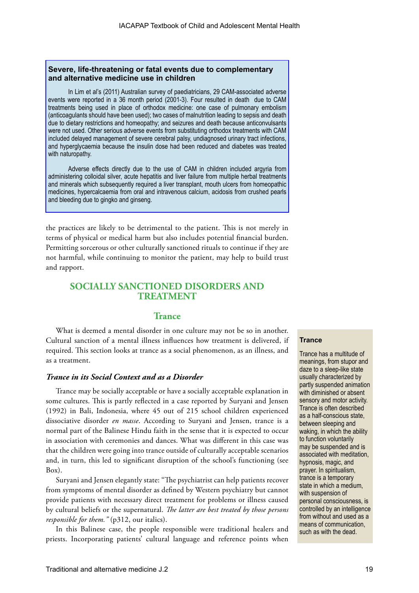## **Severe, life-threatening or fatal events due to complementary and alternative medicine use in children**

In Lim et al's (2011) Australian survey of paediatricians, 29 CAM-associated adverse events were reported in a 36 month period (2001-3). Four resulted in death due to CAM treatments being used in place of orthodox medicine: one case of pulmonary embolism (anticoagulants should have been used); two cases of malnutrition leading to sepsis and death due to dietary restrictions and homeopathy; and seizures and death because anticonvulsants were not used. Other serious adverse events from substituting orthodox treatments with CAM included delayed management of severe cerebral palsy, undiagnosed urinary tract infections, and hyperglycaemia because the insulin dose had been reduced and diabetes was treated with naturopathy.

Adverse effects directly due to the use of CAM in children included argyria from administering colloidal silver, acute hepatitis and liver failure from multiple herbal treatments and minerals which subsequently required a liver transplant, mouth ulcers from homeopathic medicines, hypercalcaemia from oral and intravenous calcium, acidosis from crushed pearls and bleeding due to gingko and ginseng.

the practices are likely to be detrimental to the patient. This is not merely in terms of physical or medical harm but also includes potential financial burden. Permitting sorcerous or other culturally sanctioned rituals to continue if they are not harmful, while continuing to monitor the patient, may help to build trust and rapport.

# **SOCIALLY SANCTIONED DISORDERS AND TREATMENT**

#### **Trance**

What is deemed a mental disorder in one culture may not be so in another. Cultural sanction of a mental illness influences how treatment is delivered, if required. This section looks at trance as a social phenomenon, as an illness, and as a treatment.

## *Trance in its Social Context and as a Disorder*

Trance may be socially acceptable or have a socially acceptable explanation in some cultures. This is partly reflected in a case reported by Suryani and Jensen (1992) in Bali, Indonesia, where 45 out of 215 school children experienced dissociative disorder *en masse*. According to Suryani and Jensen, trance is a normal part of the Balinese Hindu faith in the sense that it is expected to occur in association with ceremonies and dances. What was different in this case was that the children were going into trance outside of culturally acceptable scenarios and, in turn, this led to significant disruption of the school's functioning (see Box).

Suryani and Jensen elegantly state: "The psychiatrist can help patients recover from symptoms of mental disorder as defined by Western psychiatry but cannot provide patients with necessary direct treatment for problems or illness caused by cultural beliefs or the supernatural. *The latter are best treated by those persons responsible for them."* (p312, our italics).

In this Balinese case, the people responsible were traditional healers and priests. Incorporating patients' cultural language and reference points when

#### **Trance**

Trance has a multitude of meanings, from stupor and daze to a sleep-like state usually characterized by partly suspended animation with diminished or absent sensory and motor activity. Trance is often described as a half-conscious state, between sleeping and waking, in which the ability to function voluntarily may be suspended and is associated with meditation, hypnosis, magic, and prayer. In spiritualism, trance is a temporary state in which a medium, with suspension of personal consciousness, is controlled by an intelligence from without and used as a means of communication, such as with the dead.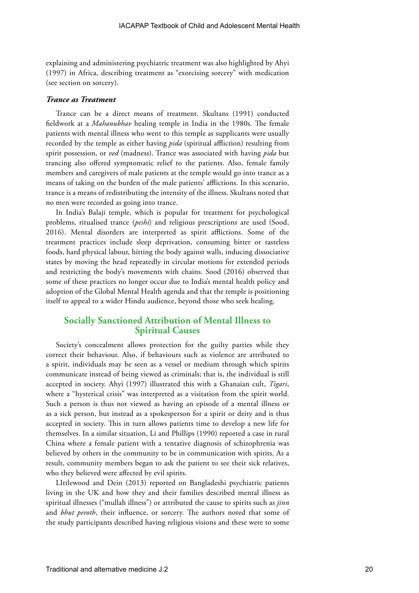explaining and administering psychiatric treatment was also highlighted by Ahyi (1997) in Africa, describing treatment as "exorcising sorcery" with medication (see section on sorcery).

## *Trance as Treatment*

Trance can be a direct means of treatment. Skultans (1991) conducted fieldwork at a *Mahanubhav* healing temple in India in the 1980s. The female patients with mental illness who went to this temple as supplicants were usually recorded by the temple as either having *pida* (spiritual affliction) resulting from spirit possession, or *ved* (madness). Trance was associated with having *pida* but trancing also offered symptomatic relief to the patients. Also, female family members and caregivers of male patients at the temple would go into trance as a means of taking on the burden of the male patients' afflictions. In this scenario, trance is a means of redistributing the intensity of the illness. Skultans noted that no men were recorded as going into trance.

In India's Balaji temple, which is popular for treatment for psychological problems, ritualised trance (*peshi*) and religious prescriptions are used (Sood, 2016). Mental disorders are interpreted as spirit afflictions. Some of the treatment practices include sleep deprivation, consuming bitter or tasteless foods, hard physical labour, hitting the body against walls, inducing dissociative states by moving the head repeatedly in circular motions for extended periods and restricting the body's movements with chains. Sood (2016) observed that some of these practices no longer occur due to India's mental health policy and adoption of the Global Mental Health agenda and that the temple is positioning itself to appeal to a wider Hindu audience, beyond those who seek healing.

# **Socially Sanctioned Attribution of Mental Illness to Spiritual Causes**

Society's concealment allows protection for the guilty parties while they correct their behaviour. Also, if behaviours such as violence are attributed to a spirit, individuals may be seen as a vessel or medium through which spirits communicate instead of being viewed as criminals; that is, the individual is still accepted in society. Ahyi (1997) illustrated this with a Ghanaian cult, *Tigari*, where a "hysterical crisis" was interpreted as a visitation from the spirit world. Such a person is thus not viewed as having an episode of a mental illness or as a sick person, but instead as a spokesperson for a spirit or deity and is thus accepted in society. This in turn allows patients time to develop a new life for themselves. In a similar situation, Li and Phillips (1990) reported a case in rural China where a female patient with a tentative diagnosis of schizophrenia was believed by others in the community to be in communication with spirits. As a result, community members began to ask the patient to see their sick relatives, who they believed were affected by evil spirits.

LIttlewood and Dein (2013) reported on Bangladeshi psychiatric patients living in the UK and how they and their families described mental illness as spiritual illnesses ("mullah illness") or attributed the cause to spirits such as *jinn* and *bhut peroth*, their influence, or sorcery. The authors noted that some of the study participants described having religious visions and these were to some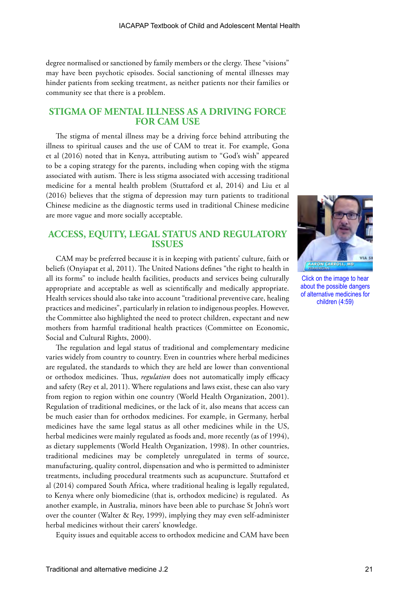degree normalised or sanctioned by family members or the clergy. These "visions" may have been psychotic episodes. Social sanctioning of mental illnesses may hinder patients from seeking treatment, as neither patients nor their families or community see that there is a problem.

# **STIGMA OF MENTAL ILLNESS AS A DRIVING FORCE FOR CAM USE**

The stigma of mental illness may be a driving force behind attributing the illness to spiritual causes and the use of CAM to treat it. For example, Gona et al (2016) noted that in Kenya, attributing autism to "God's wish" appeared to be a coping strategy for the parents, including when coping with the stigma associated with autism. There is less stigma associated with accessing traditional medicine for a mental health problem (Stuttaford et al, 2014) and Liu et al (2016) believes that the stigma of depression may turn patients to traditional Chinese medicine as the diagnostic terms used in traditional Chinese medicine are more vague and more socially acceptable.

# **ACCESS, EQUITY, LEGAL STATUS AND REGULATORY ISSUES**

CAM may be preferred because it is in keeping with patients' culture, faith or beliefs (Onyiapat et al, 2011). The United Nations defines "the right to health in all its forms" to include health facilities, products and services being culturally appropriate and acceptable as well as scientifically and medically appropriate. Health services should also take into account "traditional preventive care, healing practices and medicines", particularly in relation to indigenous peoples. However, the Committee also highlighted the need to protect children, expectant and new mothers from harmful traditional health practices (Committee on Economic, Social and Cultural Rights, 2000).

The regulation and legal status of traditional and complementary medicine varies widely from country to country. Even in countries where herbal medicines are regulated, the standards to which they are held are lower than conventional or orthodox medicines. Thus, *regulation* does not automatically imply efficacy and safety (Rey et al, 2011). Where regulations and laws exist, these can also vary from region to region within one country (World Health Organization, 2001). Regulation of traditional medicines, or the lack of it, also means that access can be much easier than for orthodox medicines. For example, in Germany, herbal medicines have the same legal status as all other medicines while in the US, herbal medicines were mainly regulated as foods and, more recently (as of 1994), as dietary supplements (World Health Organization, 1998). In other countries, traditional medicines may be completely unregulated in terms of source, manufacturing, quality control, dispensation and who is permitted to administer treatments, including procedural treatments such as acupuncture. Stuttaford et al (2014) compared South Africa, where traditional healing is legally regulated, to Kenya where only biomedicine (that is, orthodox medicine) is regulated. As another example, in Australia, minors have been able to purchase St John's wort over the counter (Walter & Rey, 1999), implying they may even self-administer herbal medicines without their carers' knowledge.

Equity issues and equitable access to orthodox medicine and CAM have been



Click on the image to hear about the possible dangers of alternative medicines for children (4:59)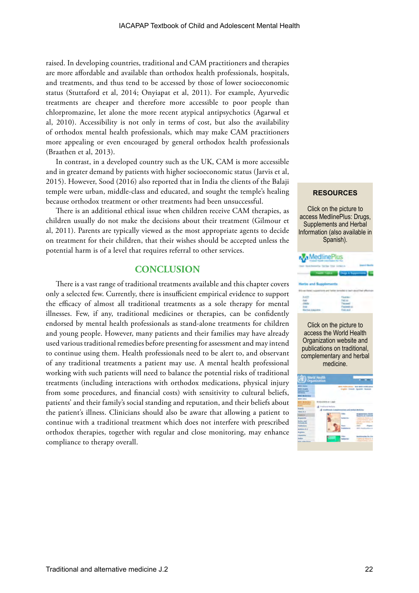raised. In developing countries, traditional and CAM practitioners and therapies are more affordable and available than orthodox health professionals, hospitals, and treatments, and thus tend to be accessed by those of lower socioeconomic status (Stuttaford et al, 2014; Onyiapat et al, 2011). For example, Ayurvedic treatments are cheaper and therefore more accessible to poor people than chlorpromazine, let alone the more recent atypical antipsychotics (Agarwal et al, 2010). Accessibility is not only in terms of cost, but also the availability of orthodox mental health professionals, which may make CAM practitioners more appealing or even encouraged by general orthodox health professionals (Braathen et al, 2013).

In contrast, in a developed country such as the UK, CAM is more accessible and in greater demand by patients with higher socioeconomic status (Jarvis et al, 2015). However, Sood (2016) also reported that in India the clients of the Balaji temple were urban, middle-class and educated, and sought the temple's healing because orthodox treatment or other treatments had been unsuccessful.

There is an additional ethical issue when children receive CAM therapies, as children usually do not make the decisions about their treatment (Gilmour et al, 2011). Parents are typically viewed as the most appropriate agents to decide on treatment for their children, that their wishes should be accepted unless the potential harm is of a level that requires referral to other services.

# **CONCLUSION**

There is a vast range of traditional treatments available and this chapter covers only a selected few. Currently, there is insufficient empirical evidence to support the efficacy of almost all traditional treatments as a sole therapy for mental illnesses. Few, if any, traditional medicines or therapies, can be confidently endorsed by mental health professionals as stand-alone treatments for children and young people. However, many patients and their families may have already used various traditional remedies before presenting for assessment and may intend to continue using them. Health professionals need to be alert to, and observant of any traditional treatments a patient may use. A mental health professional working with such patients will need to balance the potential risks of traditional treatments (including interactions with orthodox medications, physical injury from some procedures, and financial costs) with sensitivity to cultural beliefs, patients' and their family's social standing and reputation, and their beliefs about the patient's illness. Clinicians should also be aware that allowing a patient to continue with a traditional treatment which does not interfere with prescribed orthodox therapies, together with regular and close monitoring, may enhance compliance to therapy overall.

#### **RESOURCES**

Click on the picture to access MedlinePlus: Drugs, Supplements and Herbal Information (also available in Spanish).



Click on the picture to access the World Health Organization website and publications on traditional, complementary and herbal medicine.

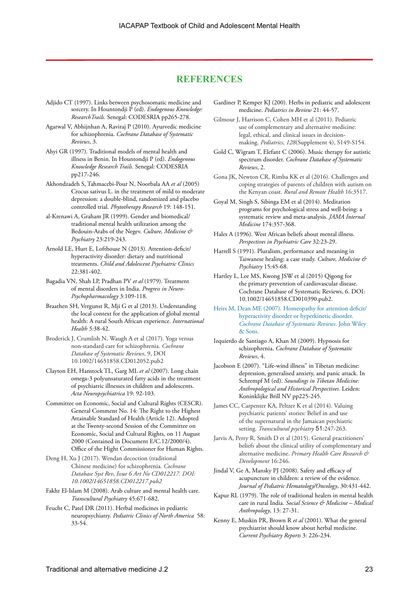# **REFERENCES**

- Adjido CT (1997). Links between psychosomatic medicine and sorcery. In Hountondji P (ed). *Endogenous Knowledge: ResearchTrails.* Senegal: CODESRIA pp265-278.
- Agarwal V, Abhijnhan A, Raviraj P (2010). Ayurvedic medicine for schizophrenia. *Cochrane Database of Systematic Reviews*, 3.
- Ahyi GR (1997). Traditional models of mental health and illness in Benin. In Hountondji P (ed). *Endogenous Knowledge Research Trails.* Senegal: CODESRIA pp217-246.
- Akhondzadeh S, Tahmacebi-Pour N, Noorbala AA *et al* (2005) Crocus sativus L. in the treatment of mild to moderate depression: a double-blind, randomized and placebo controlled trial. *Phytotherapy Research* 19: 148-151.
- al-Krenawi A, Graham JR (1999). Gender and biomedical/ traditional mental health utilization among the Bedouin-Arabs of the Negev. *Culture, Medicine & Psychiatry* 23:219-243.
- Arnold LE, Hurt E, Lofthouse N (2013). Attention-deficit/ hyperactivity disorder: dietary and nutritional treatments. *Child and Adolescent Psychiatric Clinics* 22:381-402.
- Bagadia VN, Shah LP, Pradhan PV *et al* (1979). Treatment of mental disorders in India. *Progress in Neuro-Psychopharmacology* 3:109-118.
- Braathen SH, Vergunst R, Mji G et al (2013). Understanding the local context for the application of global mental health: A rural South African experience. *International Health 5:*38-42.
- Broderick J, Crumlish N, Waugh A et al (2017). Yoga versus non-standard care for schizophrenia. *Cochrane Database of Systematic Reviews*, 9, DOI 10.1002/14651858.CD012052.pub2
- Clayton EH, Hanstock TL, Garg ML *et al* (2007). Long chain omega-3 polyunsaturated fatty acids in the treatment of psychiatric illnesses in children and adolescents. *Acta Neuropsychiatrica* 19: 92-103.
- Committee on Economic, Social and Cultural Rights (CESCR). General Comment No. 14: The Right to the Highest Attainable Standard of Health (Article 12). Adopted at the Twenty-second Session of the Committee on Economic, Social and Cultural Rights, on 11 August 2000 (Contained in Document E/C.12/2000/4). Office of the Hight Commissioner for Human Rights.
- Deng H, Xu J (2017). Wendan decoction (traditional Chinese medicine) for schizophrenia. *Cochrane Database Syst Rev*, *Issue 6 Art No CD012217. DOI: 10.1002/14651858.CD012217.pub2*
- Fakhr El-Islam M (2008). Arab culture and mental health care. *Transcultural Psychiatry* 45:671-682.
- Feucht C, Patel DR (2011). Herbal medicines in pediatric neuropsychiatry. *Pediatric Clinics of North America* 58: 33-54.

Gardiner P, Kemper KJ (200). Herbs in pediatric and adolescent medicine. *Pediatrics in Review* 21: 44-57.

Gilmour J, Harrison C, Cohen MH et al (2011). Pediatric use of complementary and alternative medicine: legal, ethical, and clinical issues in decisionmaking. *Pediatrics*, *128*(Supplement 4), S149-S154.

- Gold C, Wigram T, Elefant C (2006). Music therapy for autistic spectrum disorder. *Cochrane Database of Systematic Reviews*, 2.
- Gona JK, Newton CR, Rimba KK et al (2016). Challenges and coping strategies of parents of children with autism on the Kenyan coast. *Rural and Remote Health* 16:3517.
- Goyal M, Singh S, Sibinga EM et al (2014). Meditation programs for psychological stress and well-being: a systematic review and meta-analysis. *JAMA Internal Medicine* 174:357-368.
- Hales A (1996). West African beliefs about mental illness. *Perspectives in Psychiatric Care* 32:23-29.
- Harrell S (1991). Pluralism, performance and meaning in Taiwanese healing: a case study. *Culture, Medicine & Psychiatry* 15:45-68.
- Hartley L, Lee MS, Kwong JSW et al (2015) Qigong for the primary prevention of cardiovascular disease. Cochrane Database of Systematic Reviews, 6. DOI: 10.1002/14651858.CD010390.pub2.
- [Heirs M, Dean ME \(2007\). Homeopathy for attention deficit/](https://doi.org/10.1002/14651858.CD005648.pub2)  [hyperactivity disorder or hyperkinetic disorder.](https://doi.org/10.1002/14651858.CD005648.pub2)  *[Cochrane Database of Systematic Reviews](https://doi.org/10.1002/14651858.CD005648.pub2)*. John Wiley [& Sons.](https://doi.org/10.1002/14651858.CD005648.pub2)
- Izquierdo de Santiago A, Khan M (2009). Hypnosis for schizophrenia. *Cochrane Database of Systematic Reviews*, 4.
- Jacobson E (2007). "Life-wind illness" in Tibetan medicine: depression, generalised anxiety, and panic attack. In Schrempf M (ed). *Soundings in Tibetan Medicine: Anthropological and Historical Perspectives.* Leiden: Koninklijke Brill NV pp225-245.
- James CC, Carpenter KA, Peltzer K et al (2014). Valuing psychiatric patients' stories: Belief in and use of the supernatural in the Jamaican psychiatric setting. *Transcultural psychiatry* 51:247-263.
- Jarvis A, Perry R, Smith D et al (2015). General practitioners' beliefs about the clinical utility of complementary and alternative medicine. *Primary Health Care Research & Development* 16:246.
- Jindal V, Ge A, Mansky PJ (2008). Safety and efficacy of acupuncture in children: a review of the evidence. *Journal of Pediatric Hematology/Oncology*, 30:431-442.
- Kapur RL (1979). The role of traditional healers in mental health care in rural India. *Social Science & Medicine – Medical Anthropology*, 13: 27-31.
- Kenny E, Muskin PR, Brown R *et al* (2001). What the general psychiatrist should know about herbal medicine. *Current Psychiatry Reports* 3: 226-234.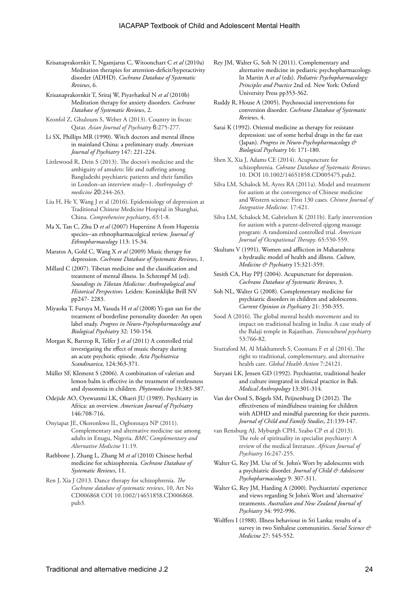- Krisanaprakornkit T, Ngamjarus C, Witoonchart C *et al* (2010a) Meditation therapies for attention-deficit/hyperactivity disorder (ADHD). *Cochrane Database of Systematic Reviews*, 6.
- Krisanaprakornkit T, Sriraj W, Piyavhatkul N *et al* (2010b) Meditation therapy for anxiety disorders. *Cochrane Database of Systematic Reviews*, 2.
- Kronfol Z, Ghuloum S, Weber A (2013). Country in focus: Qatar. *Asian Journal of Psychiatry* 6*:*275-277.
- Li SX, Phillips MR (1990). Witch doctors and mental illness in mainland China: a preliminary study. *American Journal of Psychiatry* 147: 221-224.
- Littlewood R, Dein S (2013). The doctor's medicine and the ambiguity of amulets: life and suffering among Bangladeshi psychiatric patients and their families in London–an interview study–1. *Anthropology & medicine* 20:244-263.
- Liu H, He Y, Wang J et al (2016). Epidemiology of depression at Traditional Chinese Medicine Hospital in Shanghai, China. *Comprehensive psychiatry*, *65:*1-8.
- Ma X, Tan C, Zhu D *et al* (2007) Huperzine A from Huperzia species--an ethnopharmacolgical review. *Journal of Ethnopharmacology* 113: 15-34.
- Maratos A, Gold C, Wang X *et al* (2009) Music therapy for depression. *Cochrane Database of Systematic Reviews*, 1.
- Millard C (2007). Tibetan medicine and the classification and treatment of mental illness. In Schrempf M (ed). *Soundings in Tibetan Medicine: Anthropological and Historical Perspectives.* Leiden: Koninklijke Brill NV pp247- 2283.
- Miyaoka T, Furuya M, Yasuda H *et al* (2008) Yi-gan san for the treatment of borderline personality disorder: An open label study. *Progress in Neuro-Psychopharmacology and Biological Psychiatry* 32: 150-154.
- Morgan K, Bartrop R, Telfer J *et al* (2011) A controlled trial investigating the effect of music therapy during an acute psychotic episode. *Acta Psychiatrica Scandinavica*, 124:363-371.
- Müller SF, Klement S (2006). A combination of valerian and lemon balm is effective in the treatment of restlessness and dyssomnia in children. *Phytomedicine* 13:383-387.
- Odejide AO, Oyewunmi LK, Ohaeri JU (1989). Psychiatry in Africa: an overview. *American Journal of Psychiatry* 146:708-716.
- Onyiapat JE, Okoronkwo IL, Ogbonnaya NP (2011). Complementary and alternative medicine use among adults in Enugu, Nigeria. *BMC Complementary and Alternative Medicine* 11:19.
- Rathbone J, Zhang L, Zhang M *et al* (2010) Chinese herbal medicine for schizophrenia. *Cochrane Database of Systematic Reviews*, 11.
- Ren J, Xia J (2013. Dance therapy for schizophrenia. *The Cochrane database of systematic reviews*, 10, Art No CD006868 COI 10.1002/14651858.CD006868. pub3.
- Rey JM, Walter G, Soh N (2011). Complementary and alternative medicine in pediatric psychopharmacology. In Martin A *et al* (eds). *Pediatric Psychopharmacology: Principles and Practice* 2nd ed*.* New York: Oxford University Press pp353-362.
- Ruddy R, House A (2005). Psychosocial interventions for conversion disorder. *Cochrane Database of Systematic Reviews*, 4.
- Sarai K (1992). Oriental medicine as therapy for resistant depression: use of some herbal drugs in the far east (Japan). *Progress in Neuro-Psychopharmacology & Biological Psychiatry* 16: 171-180.
- Shen X, Xia J, Adams CE (2014). Acupuncture for schizophrenia. *Cohrane Database of Systematic Reviews*. 10. DOI 10.1002/14651858.CD005475.pub2.
- Silva LM, Schalock M, Ayres RA (2011a). Model and treatment for autism at the convergence of Chinese medicine and Western science: First 130 cases. *Chinese Journal of Integrative Medicine*. 17:421.
- Silva LM, Schalock M, Gabrielsen K (2011b). Early intervention for autism with a parent-delivered qigong massage program: A randomized controlled trial. *American Journal of Occupational Therapy*. 65:550-559.
- Skultans V (1991). Women and affliction in Maharashtra: a hydraulic model of health and illness. *Culture, Medicine & Psychiatry* 15:321-359.
- Smith CA, Hay PPJ (2004). Acupuncture for depression. *Cochrane Database of Systematic Reviews*, 3.
- Soh NL, Walter G (2008). Complementary medicine for psychiatric disorders in children and adolescents. *Current Opinion in Psychiatry* 21: 350-355.
- Sood A (2016). The global mental health movement and its impact on traditional healing in India: A case study of the Balaji temple in Rajasthan. *Transcultural psychiatry* 53:766-82.
- Stuttaford M, Al Makhamreh S, Coomans F et al (2014). The right to traditional, complementary, and alternative health care. *Global Health Action* 7:24121.
- Suryani LK, Jensen GD (1992). Psychiatrist, traditional healer and culture integrated in clinical practice in Bali. *Medical Anthropology* 13:301-314.
- Van der Oord S, Bögels SM, Peijnenburg D (2012). The effectiveness of mindfulness training for children with ADHD and mindful parenting for their parents. *Journal of Child and Family Studies*, 21:139-147.
- van Rensburg AJ, Myburgh CPH, Szabo CP et al (2013). The role of spirituality in specialist psychiatry: A review of the medical literature. *African Journal of Psychiatry* 16:247-255.
- Walter G, Rey JM. Use of St. John's Wort by adolescents with a psychiatric disorder. *Journal of Child & Adolescent Psychopharmacology* 9: 307-311.
- Walter G, Rey JM, Harding A (2000). Psychiatrists' experience and views regarding St John's Wort and 'alternative' treatments. *Australian and New Zealand Journal of Psychiatry* 34: 992-996.
- Wolffers I (1988). Illness behaviour in Sri Lanka: results of a survey in two Sinhalese communities. *Social Science & Medicine* 27: 545-552.